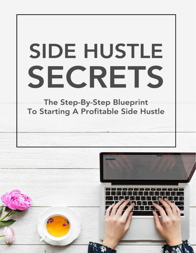# **SIDE HUSTLE** SECRETS

The Step-By-Step Blueprint To Starting A Profitable Side Hustle

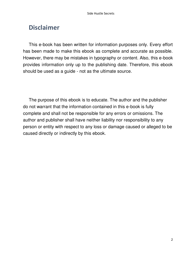#### **Disclaimer**

This e-book has been written for information purposes only. Every effort has been made to make this ebook as complete and accurate as possible. However, there may be mistakes in typography or content. Also, this e-book provides information only up to the publishing date. Therefore, this ebook should be used as a guide - not as the ultimate source.

The purpose of this ebook is to educate. The author and the publisher do not warrant that the information contained in this e-book is fully complete and shall not be responsible for any errors or omissions. The author and publisher shall have neither liability nor responsibility to any person or entity with respect to any loss or damage caused or alleged to be caused directly or indirectly by this ebook.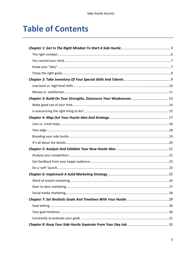### **Table of Contents**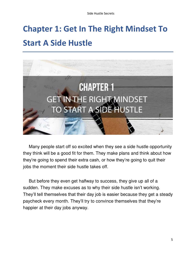# <span id="page-4-0"></span>**Chapter 1: Get In The Right Mindset To Start A Side Hustle**



Many people start off so excited when they see a side hustle opportunity they think will be a good fit for them. They make plans and think about how they're going to spend their extra cash, or how they're going to quit their jobs the moment their side hustle takes off.

But before they even get halfway to success, they give up all of a sudden. They make excuses as to why their side hustle isn't working. They'll tell themselves that their day job is easier because they get a steady paycheck every month. They'll try to convince themselves that they're happier at their day jobs anyway.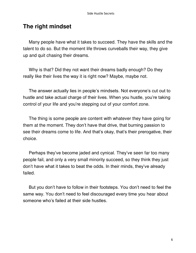#### <span id="page-5-0"></span>**The right mindset**

Many people have what it takes to succeed. They have the skills and the talent to do so. But the moment life throws curveballs their way, they give up and quit chasing their dreams.

Why is that? Did they not want their dreams badly enough? Do they really like their lives the way it is right now? Maybe, maybe not.

The answer actually lies in people's mindsets. Not everyone's cut out to hustle and take actual charge of their lives. When you hustle, you're taking control of your life and you're stepping out of your comfort zone.

The thing is some people are content with whatever they have going for them at the moment. They don't have that drive, that burning passion to see their dreams come to life. And that's okay, that's their prerogative, their choice.

Perhaps they've become jaded and cynical. They've seen far too many people fail, and only a very small minority succeed, so they think they just don't have what it takes to beat the odds. In their minds, they've already failed.

But you don't have to follow in their footsteps. You don't need to feel the same way. You don't need to feel discouraged every time you hear about someone who's failed at their side hustles.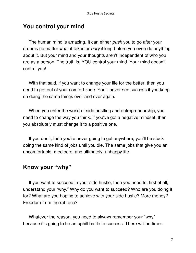#### <span id="page-6-0"></span>**You control your mind**

The human mind is amazing. It can either *push* you to go after your dreams no matter what it takes or bury it long before you even do anything about it. But your mind and your thoughts aren't independent of who you are as a person. The truth is, YOU control your mind. Your mind doesn't control you!

With that said, if you want to change your life for the better, then you need to get out of your comfort zone. You'll never see success if you keep on doing the same things over and over again.

When you enter the world of side hustling and entrepreneurship, you need to change the way you think. If you've got a negative mindset, then you absolutely must change it to a positive one.

If you don't, then you're never going to get anywhere, you'll be stuck doing the same kind of jobs until you die. The same jobs that give you an uncomfortable, mediocre, and ultimately, unhappy life.

#### <span id="page-6-1"></span>**Know your "why"**

If you want to succeed in your side hustle, then you need to, first of all, understand your "why." Why do you want to succeed? Who are you doing it for? What are you hoping to achieve with your side hustle? More money? Freedom from the rat race?

Whatever the reason, you need to always remember your "why" because it's going to be an uphill battle to success. There will be times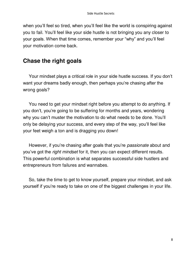when you'll feel so tired, when you'll feel like the world is conspiring against you to fail. You'll feel like your side hustle is not bringing you any closer to your goals. When that time comes, remember your "why" and you'll feel your motivation come back.

#### <span id="page-7-0"></span>**Chase the right goals**

Your mindset plays a critical role in your side hustle success. If you don't want your dreams badly enough, then perhaps you're chasing after the wrong goals?

You need to get your mindset right before you attempt to do anything. If you don't, you're going to be suffering for months and years, wondering why you can't muster the motivation to do what needs to be done. You'll only be delaying your success, and every step of the way, you'll feel like your feet weigh a ton and is dragging you down!

However, if you're chasing after goals that you're *passionate* about and you've got the right mindset for it, then you can expect different results. This powerful combination is what separates successful side hustlers and entrepreneurs from failures and wannabes.

So, take the time to get to know yourself, prepare your mindset, and ask yourself if you're ready to take on one of the biggest challenges in your life.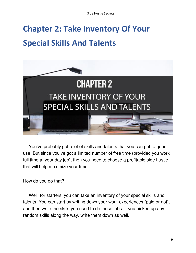# <span id="page-8-0"></span>**Chapter 2: Take Inventory Of Your Special Skills And Talents**



You've probably got a lot of skills and talents that you can put to good use. But since you've got a limited number of free time (provided you work full time at your day job), then you need to choose a profitable side hustle that will help maximize your time.

How do you do that?

Well, for starters, you can take an inventory of your special skills and talents. You can start by writing down your work experiences (paid or not), and then write the skills you used to do those jobs. If you picked up any random skills along the way, write them down as well.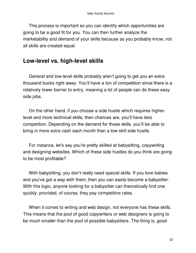This process is important so you can identify which opportunities are going to be a good fit for you. You can then further analyze the marketability and demand of your skills because as you probably know, not all skills are created equal.

#### <span id="page-9-0"></span>**Low-level vs. high-level skills**

General and low-level skills probably aren't going to get you an extra thousand bucks right away. You'll have a ton of competition since there is a relatively lower barrier to entry, meaning a lot of people can do these easy side jobs.

On the other hand, if you choose a side hustle which requires higherlevel and more technical skills, then chances are, you'll have less competition. Depending on the demand for those skills, you'll be able to bring in more extra cash each month than a low-skill side hustle.

For instance, let's say you're pretty skilled at babysitting, copywriting and designing websites. Which of these side hustles do you think are going to be most profitable?

With babysitting, you don't really need special skills. If you love babies and you've got a way with them, then you can easily become a babysitter. With this logic, anyone looking for a babysitter can theoretically find one quickly, provided, of course, they pay competitive rates.

When it comes to writing and web design, not everyone has these skills. This means that the pool of good copywriters or web designers is going to be much smaller than the pool of possible babysitters. The thing is, good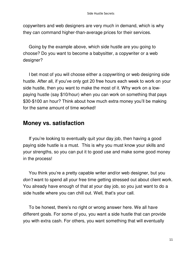copywriters and web designers are very much in demand, which is why they can command higher-than-average prices for their services.

Going by the example above, which side hustle are you going to choose? Do you want to become a babysitter, a copywriter or a web designer?

I bet most of you will choose either a copywriting or web designing side hustle. After all, if you've only got 20 free hours each week to work on your side hustle, then you want to make the most of it. Why work on a lowpaying hustle (say \$10/hour) when you can work on something that pays \$30-\$100 an hour? Think about how much extra money you'll be making for the same amount of time worked!

#### <span id="page-10-0"></span>**Money vs. satisfaction**

If you're looking to eventually quit your day job, then having a good paying side hustle is a must. This is why you must know your skills and your strengths, so you can put it to good use and make some good money in the process!

You think you're a pretty capable writer and/or web designer, but you *don'*t want to spend all your free time getting stressed out about client work. You already have enough of that at your day job, so you just want to do a side hustle where you can chill out. Well, that's your call.

To be honest, there's no right or wrong answer here. We all have different goals. For some of you, you want a side hustle that can provide you with extra cash. For others, you want something that will eventually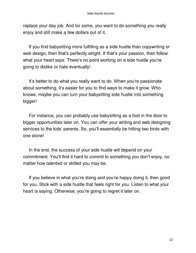replace your day job. And for some, you want to do something you really enjoy and still make a few dollars out of it.

If you find babysitting more fulfilling as a side hustle than copywriting or web design, then that's perfectly alright. If that's your passion, then follow what your heart says. There's no point working on a side hustle you're going to dislike or hate eventually!

It's better to do what you really want to do. When you're passionate about something, it's easier for you to find ways to make it grow. Who knows, maybe you can turn your babysitting side hustle into something bigger!

For instance, you can probably use babysitting as a foot in the door to bigger opportunities later on. You can offer your writing and web designing services to the kids' parents. So, you'll essentially be hitting two birds with one stone!

In the end, the success of your side hustle will depend on your commitment. You'll find it hard to commit to something you don't enjoy, no matter how talented or skilled you may be.

If you believe in what you're doing and you're happy doing it, then good for you. Stick with a side hustle that feels right for you. Listen to what your heart is saying. Otherwise, you're going to regret it later on.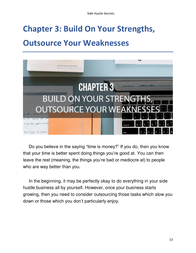### <span id="page-12-0"></span>**Chapter 3: Build On Your Strengths,**

### **Outsource Your Weaknesses**



Do you believe in the saying "time is money?" If you do, then you know that your time is better spent doing things you're good at. You can then leave the rest (meaning, the things you're bad or mediocre at) to people who are way better than you.

In the beginning, it may be perfectly okay to do everything in your side hustle business all by yourself. However, once your business starts growing, then you need to consider outsourcing those tasks which slow you down or those which you don't particularly enjoy.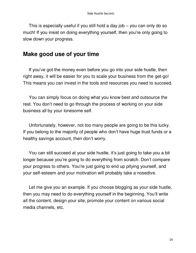This is especially useful if you still hold a day job – you can only do so much! If you insist on doing everything yourself, then you're only going to slow down your progress.

#### <span id="page-13-0"></span>**Make good use of your time**

If you've got the money even before you go into your side hustle, then right away, it will be easier for you to scale your business from the get-go! This means you can invest in the tools and resources you need to succeed.

You can simply focus on doing what you know best and outsource the rest. You don't need to go through the process of working on your side business all by your lonesome self.

Unfortunately, however, not too many people are going to be this lucky. If you belong to the majority of people who don't have huge trust funds or a healthy savings account, then don't worry.

You can still succeed at your side hustle, it's just going to take you a bit longer because you're going to do everything from scratch. Don't compare your progress to others. You're just going to end up pitying yourself, and your self-esteem and your motivation will probably take a nosedive.

Let me give you an example. If you choose blogging as your side hustle, then you may need to do everything yourself in the beginning. You'll write all the content, design your site, promote your content on various social media channels, etc.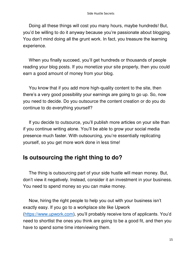Doing all these things will cost you many hours, maybe hundreds! But, you'd be willing to do it anyway because you're passionate about blogging. You don't mind doing all the grunt work. In fact, you treasure the learning experience.

When you finally succeed, you'll get hundreds or thousands of people reading your blog posts. If you monetize your site properly, then you could earn a good amount of money from your blog.

You know that if you add more high-quality content to the site, then there's a very good possibility your earnings are going to go up. So, now you need to decide. Do you outsource the content creation or do you do continue to do everything yourself?

If you decide to outsource, you'll publish more articles on your site than if you continue writing alone. You'll be able to grow your social media presence much faster. With outsourcing, you're essentially replicating yourself, so you get more work done in less time!

#### <span id="page-14-0"></span>**Is outsourcing the right thing to do?**

The thing is outsourcing part of your side hustle will mean money. But, don't view it negatively. Instead, consider it an investment in your business. You need to spend money so you can make money.

Now, hiring the right people to help you out with your business isn't exactly easy. If you go to a workplace site like Upwork [\(https://www.upwork.com](https://www.upwork.com/)), you'll probably receive tons of applicants. You'd need to shortlist the ones you think are going to be a good fit, and then you have to spend some time interviewing them.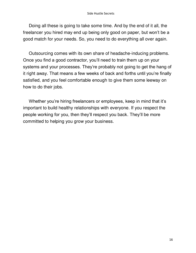Doing all these is going to take some time. And by the end of it all, the freelancer you hired may end up being only good on paper, but won't be a good match for your needs. So, you need to do everything all over again.

Outsourcing comes with its own share of headache-inducing problems. Once you find a good contractor, you'll need to train them up on your systems and your processes. They're probably not going to get the hang of it right away. That means a few weeks of back and forths until you're finally satisfied, and you feel comfortable enough to give them some leeway on how to do their jobs.

Whether you're hiring freelancers or employees, keep in mind that it's important to build healthy relationships with everyone. If you respect the people working for you, then they'll respect you back. They'll be more committed to helping you grow your business.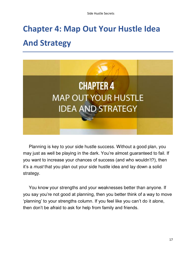# <span id="page-16-0"></span>**Chapter 4: Map Out Your Hustle Idea And Strategy**



Planning is key to your side hustle success. Without a good plan, you may just as well be playing in the dark. You're almost guaranteed to fail. If you want to increase your chances of success (and who wouldn't?), then it's a must that you plan out your side hustle idea and lay down a solid strategy.

You know your strengths and your weaknesses better than anyone. If you say you're not good at planning, then you better think of a way to move 'planning' to your strengths column. If you feel like you can't do it alone, then don't be afraid to ask for help from family and friends.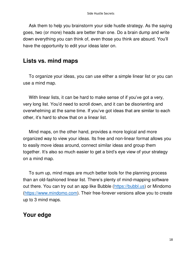Ask them to help you brainstorm your side hustle strategy. As the saying goes, two (or more) heads are better than one. Do a brain dump and write down everything you can think of, even those you think are absurd. You'll have the opportunity to edit your ideas later on.

#### <span id="page-17-0"></span>**Lists vs. mind maps**

To organize your ideas, you can use either a simple linear list or you can use a mind map.

With linear lists, it can be hard to make sense of if you've got a very, very long list. You'd need to scroll down, and it can be disorienting and overwhelming at the same time. If you've got ideas that are similar to each other, it's hard to show that on a linear list.

Mind maps, on the other hand, provides a more logical and more organized way to view your ideas. Its free and non-linear format allows you to easily move ideas around, connect similar ideas and group them together. It's also so much easier to get a bird's eye view of your strategy on a mind map.

To sum up, mind maps are much better tools for the planning process than an old-fashioned linear list. There's plenty of mind-mapping software out there. You can try out an app like Bubble [\(https://bubbl.us\)](https://bubbl.us/) or Mindomo [\(https://www.mindomo.com\)](https://www.mindomo.com/). Their free-forever versions allow you to create up to 3 mind maps.

#### <span id="page-17-1"></span>**Your edge**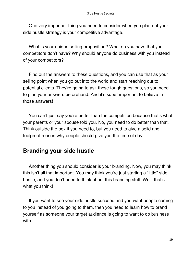One very important thing you need to consider when you plan out your side hustle strategy is your competitive advantage.

What is your unique selling proposition? What do you have that your competitors don't have? Why should anyone do business with you instead of your competitors?

Find out the answers to these questions, and you can use that as your selling point when you go out into the world and start reaching out to potential clients. They're going to ask those tough questions, so you need to plan your answers beforehand. And it's super important to believe in those answers!

You can't just say you're better than the competition because that's what your parents or your spouse told you. No, you need to do better than that. Think outside the box if you need to, but you need to give a solid and foolproof reason why people should give you the time of day.

#### <span id="page-18-0"></span>**Branding your side hustle**

Another thing you should consider is your branding. Now, you may think this isn't all that important. You may think you're just starting a "little" side hustle, and you don't need to think about this branding stuff. Well, that's what you think!

If you want to see your side hustle succeed and you want people coming to you instead of you going to them, then you need to learn how to brand yourself as someone your target audience is going to want to do business with.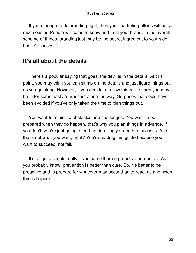If you manage to do branding right, then your marketing efforts will be so much easier. People will come to know and trust your brand. In the overall scheme of things, branding just may be the secret ingredient to your side hustle's success!

#### <span id="page-19-0"></span>**It's all about the details**

There's a popular saying that goes, the devil is in the details. At this point, you may think you can skimp on the details and just figure things out as you go along. However, if you decide to follow this route, then you may be in for some nasty "surprises" along the way. Surprises that could have been avoided if you've only taken the time to plan things out.

You want to minimize obstacles and challenges. You want to be prepared when they do happen, that's why you plan things in advance. If you don't, you're just going to end up derailing your path to success. And that's not what you want, right? You're reading this guide because you want to succeed, not fail.

It's all quite simple really – you can either be proactive or reactive. As you probably know, prevention is better than cure. So, it's better to be proactive and to prepare for whatever may occur than to react as and when things happen.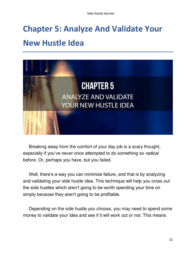### <span id="page-20-0"></span>**Chapter 5: Analyze And Validate Your New Hustle Idea**



Breaking away from the comfort of your day job is a scary thought, especially if you've never once attempted to do something so radical before. Or, perhaps you have, but you failed.

Well, there's a way you can minimize failure, and that is by analyzing and validating your side hustle idea. This technique will help you cross out the side hustles which aren't going to be worth spending your time on simply because they aren't going to be profitable.

Depending on the side hustle you choose, you may need to spend some money to validate your idea and see if it will work out or not. This means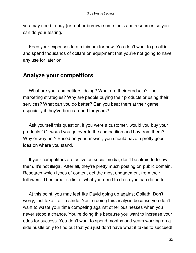you may need to buy (or rent or borrow) some tools and resources so you can do your testing.

Keep your expenses to a minimum for now. You don't want to go all in and spend thousands of dollars on equipment that you're not going to have any use for later on!

#### <span id="page-21-0"></span>**Analyze your competitors**

What are your competitors' doing? What are their products? Their marketing strategies? Why are people buying their products or using their services? What can you do better? Can you beat them at their game, especially if they've been around for years?

Ask yourself this question, if you were a customer, would you buy your products? Or would you go over to the competition and buy from them? Why or why not? Based on your answer, you should have a pretty good idea on where you stand.

If your competitors are active on social media, don't be afraid to follow them. It's not illegal. After all, they're pretty much posting on public domain. Research which types of content get the most engagement from their followers. Then create a list of what you need to do so you can do better.

At this point, you may feel like David going up against Goliath. Don't worry, just take it all in stride. You're doing this analysis because you don't want to waste your time competing against other businesses when you never stood a chance. You're doing this because you want to increase your odds for success. You don't want to spend months and years working on a side hustle only to find out that you just don't have what it takes to succeed!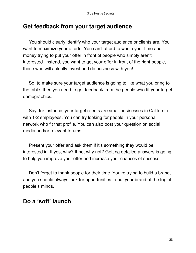#### <span id="page-22-0"></span>**Get feedback from your target audience**

You should clearly identify who your target audience or clients are. You want to maximize your efforts. You can't afford to waste your time and money trying to put your offer in front of people who simply aren't interested. Instead, you want to get your offer in front of the right people, those who will actually invest and do business with you!

So, to make sure your target audience is going to like what you bring to the table, then you need to get feedback from the people who fit your target demographics.

Say, for instance, your target clients are small businesses in California with 1-2 employees. You can try looking for people in your personal network who fit that profile. You can also post your question on social media and/or relevant forums.

Present your offer and ask them if it's something they would be interested in. If yes, why? If no, why not? Getting detailed answers is going to help you improve your offer and increase your chances of success.

Don't forget to thank people for their time. You're trying to build a brand, and you should always look for opportunities to put your brand at the top of people's minds.

#### <span id="page-22-1"></span>**Do a 'soft' launch**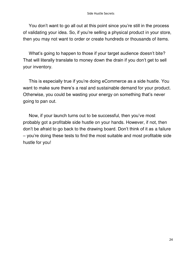You don't want to go all out at this point since you're still in the process of validating your idea. So, if you're selling a physical product in your store, then you may not want to order or create hundreds or thousands of items.

What's going to happen to those if your target audience doesn't bite? That will literally translate to money down the drain if you don't get to sell your inventory.

This is especially true if you're doing eCommerce as a side hustle. You want to make sure there's a real and sustainable demand for your product. Otherwise, you could be wasting your energy on something that's never going to pan out.

Now, if your launch turns out to be successful, then you've most probably got a profitable side hustle on your hands. However, if not, then don't be afraid to go back to the drawing board. Don't think of it as a failure – you're doing these tests to find the most suitable and most profitable side hustle for you!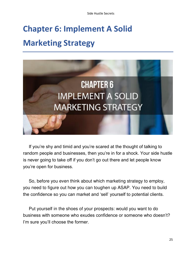Side Hustle Secrets

### <span id="page-24-0"></span>**Chapter 6: Implement A Solid Marketing Strategy**



If you're shy and timid and you're scared at the thought of talking to random people and businesses, then you're in for a shock. Your side hustle is never going to take off if you don't go out there and let people know you're open for business.

So, before you even think about which marketing strategy to employ, you need to figure out how you can toughen up ASAP. You need to build the confidence so you can market and 'sell' yourself to potential clients.

Put yourself in the shoes of your prospects: would you want to do business with someone who exudes confidence or someone who doesn't? I'm sure you'll choose the former.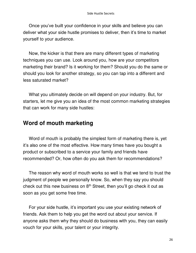Once you've built your confidence in your skills and believe you can deliver what your side hustle promises to deliver, then it's time to market yourself to your audience.

Now, the kicker is that there are many different types of marketing techniques you can use. Look around you, how are your competitors marketing their brand? Is it working for them? Should you do the same or should you look for another strategy, so you can tap into a different and less saturated market?

What you ultimately decide on will depend on your industry. But, for starters, let me give you an idea of the most common marketing strategies that can work for many side hustles:

#### <span id="page-25-0"></span>**Word of mouth marketing**

Word of mouth is probably the simplest form of marketing there is, yet it's also one of the most effective. How many times have you bought a product or subscribed to a service your family and friends have recommended? Or, how often do you ask them for recommendations?

The reason why word of mouth works so well is that we tend to trust the judgment of people we personally know. So, when they say you should check out this new business on  $8<sup>th</sup>$  Street, then you'll go check it out as soon as you get some free time.

For your side hustle, it's important you use your existing network of friends. Ask them to help you get the word out about your service. If anyone asks them why they should do business with you, they can easily vouch for your skills, your talent or your integrity.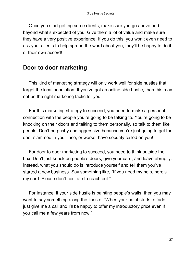Once you start getting some clients, make sure you go above and beyond what's expected of you. Give them a lot of value and make sure they have a very positive experience. If you do this, you won't even need to ask your clients to help spread the word about you, they'll be happy to do it of their own accord!

#### <span id="page-26-0"></span>**Door to door marketing**

This kind of marketing strategy will only work well for side hustles that target the local population. If you've got an online side hustle, then this may not be the right marketing tactic for you.

For this marketing strategy to succeed, you need to make a personal connection with the people you're going to be talking to. You're going to be knocking on their doors and talking to them personally, so talk to them like people. Don't be pushy and aggressive because you're just going to get the door slammed in your face, or worse, have security called on you!

For door to door marketing to succeed, you need to think outside the box. Don't just knock on people's doors, give your card, and leave abruptly. Instead, what you should do is introduce yourself and tell them you've started a new business. Say something like, "If you need my help, here's my card. Please don't hesitate to reach out."

For instance, if your side hustle is painting people's walls, then you may want to say something along the lines of "When your paint starts to fade, just give me a call and I'll be happy to offer my introductory price even if you call me a few years from now."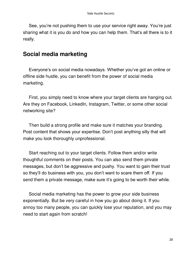See, you're not pushing them to use your service right away. You're just sharing what it is you do and how you can help them. That's all there is to it really.

#### <span id="page-27-0"></span>**Social media marketing**

Everyone's on social media nowadays. Whether you've got an online or offline side hustle, you can benefit from the power of social media marketing.

First, you simply need to know where your target clients are hanging out. Are they on Facebook, LinkedIn, Instagram, Twitter, or some other social networking site?

Then build a strong profile and make sure it matches your branding. Post content that shows your expertise. Don't post anything silly that will make you look thoroughly unprofessional.

Start reaching out to your target clients. Follow them and/or write thoughtful comments on their posts. You can also send them private messages, but don't be aggressive and pushy. You want to gain their trust so they'll do business with you, you don't want to scare them off. If you send them a private message, make sure it's going to be worth their while.

Social media marketing has the power to grow your side business exponentially. But be very careful in how you go about doing it. If you annoy too many people, you can quickly lose your reputation, and you may need to start again from scratch!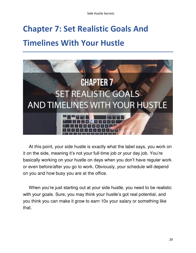### <span id="page-28-0"></span>**Chapter 7: Set Realistic Goals And Timelines With Your Hustle**



At this point, your side hustle is exactly what the label says, you work on it on the side, meaning it's not your full-time job or your day job. You're basically working on your hustle on days when you don't have regular work or even before/after you go to work. Obviously, your schedule will depend on you and how busy you are at the office.

When you're just starting out at your side hustle, you need to be realistic with your goals. Sure, you may think your hustle's got real potential, and you think you can make it grow to earn 10x your salary or something like that.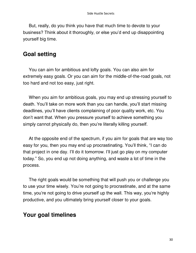But, really, do you think you have that much time to devote to your business? Think about it thoroughly, or else you'd end up disappointing yourself big time.

#### <span id="page-29-0"></span>**Goal setting**

You can aim for ambitious and lofty goals. You can also aim for extremely easy goals. Or you can aim for the middle-of-the-road goals, not too hard and not too easy, just right.

When you aim for ambitious goals, you may end up stressing yourself to death. You'll take on more work than you can handle, you'll start missing deadlines, you'll have clients complaining of poor quality work, etc. You don't want that. When you pressure yourself to achieve something you simply cannot physically do, then you're literally killing yourself.

At the opposite end of the spectrum, if you aim for goals that are way too easy for you, then you may end up procrastinating. You'll think, "I can do that project in one day. I'll do it tomorrow. I'll just go play on my computer today." So, you end up not doing anything, and waste a lot of time in the process.

The right goals would be something that will push you or challenge you to use your time wisely. You're not going to procrastinate, and at the same time, you're not going to drive yourself up the wall. This way, you're highly productive, and you ultimately bring yourself closer to your goals.

#### <span id="page-29-1"></span>**Your goal timelines**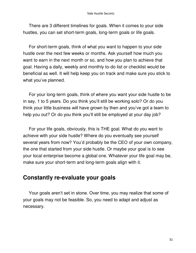There are 3 different timelines for goals. When it comes to your side hustles, you can set short-term goals, long-term goals or life goals.

For short-term goals, think of what you want to happen to your side hustle over the next few weeks or months. Ask yourself how much you want to earn in the next month or so, and how you plan to achieve that goal. Having a daily, weekly and monthly to-do list or checklist would be beneficial as well. It will help keep you on track and make sure you stick to what you've planned.

For your long-term goals, think of where you want your side hustle to be in say, 1 to 5 years. Do you think you'll still be working solo? Or do you think your little business will have grown by then and you've got a team to help you out? Or do you think you'll still be employed at your day job?

For your life goals, obviously, this is THE goal. What do you want to achieve with your side hustle? Where do you eventually see yourself several years from now? You'd probably be the CEO of your own company, the one that started from your side hustle. Or maybe your goal is to see your local enterprise become a global one. Whatever your life goal may be, make sure your short-term and long-term goals align with it.

#### <span id="page-30-0"></span>**Constantly re-evaluate your goals**

Your goals aren't set in stone. Over time, you may realize that some of your goals may not be feasible. So, you need to adapt and adjust as necessary.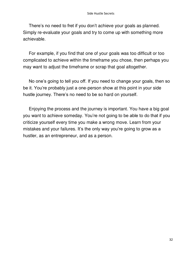There's no need to fret if you don't achieve your goals as planned. Simply re-evaluate your goals and try to come up with something more achievable.

For example, if you find that one of your goals was too difficult or too complicated to achieve within the timeframe you chose, then perhaps you may want to adjust the timeframe or scrap that goal altogether.

No one's going to tell you off. If you need to change your goals, then so be it. You're probably just a one-person show at this point in your side hustle journey. There's no need to be so hard on yourself.

Enjoying the process and the journey is important. You have a big goal you want to achieve someday. You're not going to be able to do that if you criticize yourself every time you make a wrong move. Learn from your mistakes and your failures. It's the only way you're going to grow as a hustler, as an entrepreneur, and as a person.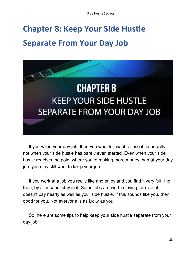# <span id="page-32-0"></span>**Chapter 8: Keep Your Side Hustle Separate From Your Day Job**



If you value your day job, then you wouldn't want to lose it, especially not when your side hustle has barely even started. Even when your side hustle reaches the point where you're making more money than at your day job, you may still want to keep your job.

If you work at a job you really like and enjoy and you find it very fulfilling, then, by all means, stay in it. Some jobs are worth staying for even if it doesn't pay nearly as well as your side hustle. If this sounds like you, then good for you. Not everyone is as lucky as you.

So, here are some tips to help keep your side hustle separate from your day job: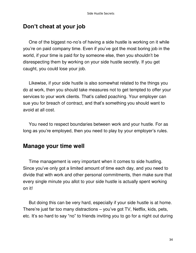#### <span id="page-33-0"></span>**Don't cheat at your job**

One of the biggest no-no's of having a side hustle is working on it while you're on paid company time. Even if you've got the most boring job in the world, if your time is paid for by someone else, then you shouldn't be disrespecting them by working on your side hustle secretly. If you get caught, you could lose your job.

Likewise, if your side hustle is also somewhat related to the things you do at work, then you should take measures not to get tempted to offer your services to your work clients. That's called poaching. Your employer can sue you for breach of contract, and that's something you should want to avoid at all cost.

You need to respect boundaries between work and your hustle. For as long as you're employed, then you need to play by your employer's rules.

#### <span id="page-33-1"></span>**Manage your time well**

Time management is very important when it comes to side hustling. Since you've only got a limited amount of time each day, and you need to divide that with work and other personal commitments, then make sure that every single minute you allot to your side hustle is actually spent working on it!

But doing this can be very hard, especially if your side hustle is at home. There're just far too many distractions – you've got TV, Netflix, kids, pets, etc. It's so hard to say "no" to friends inviting you to go for a night out during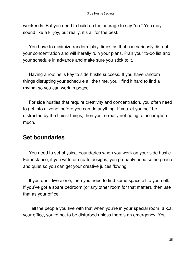weekends. But you need to build up the courage to say "no." You may sound like a killjoy, but really, it's all for the best.

You have to minimize random 'play' times as that can seriously disrupt your concentration and will literally ruin your plans. Plan your to-do list and your schedule in advance and make sure you stick to it.

Having a routine is key to side hustle success. If you have random things disrupting your schedule all the time, you'll find it hard to find a rhythm so you can work in peace.

For side hustles that require creativity and concentration, you often need to get into a 'zone' before you can do anything. If you let yourself be distracted by the tiniest things, then you're really not going to accomplish much.

#### <span id="page-34-0"></span>**Set boundaries**

You need to set physical boundaries when you work on your side hustle. For instance, if you write or create designs, you probably need some peace and quiet so you can get your creative juices flowing.

If you don't live alone, then you need to find some space all to yourself. If you've got a spare bedroom (or any other room for that matter), then use that as your office.

Tell the people you live with that when you're in your special room, a.k.a. your office, you're not to be disturbed unless there's an emergency. You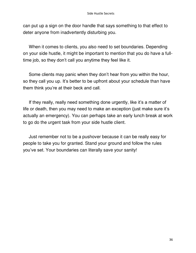can put up a sign on the door handle that says something to that effect to deter anyone from inadvertently disturbing you.

When it comes to clients, you also need to set boundaries. Depending on your side hustle, it might be important to mention that you do have a fulltime job, so they don't call you anytime they feel like it.

Some clients may panic when they don't hear from you within the hour, so they call you up. It's better to be upfront about your schedule than have them think you're at their beck and call.

If they really, really need something done urgently, like it's a matter of life or death, then you may need to make an exception (just make sure it's actually an emergency). You can perhaps take an early lunch break at work to go do the urgent task from your side hustle client.

Just remember not to be a pushover because it can be really easy for people to take you for granted. Stand your ground and follow the rules you've set. Your boundaries can literally save your sanity!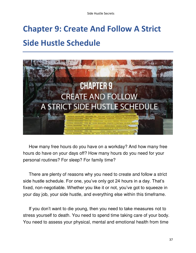Side Hustle Secrets

### <span id="page-36-0"></span>**Chapter 9: Create And Follow A Strict Side Hustle Schedule**



How many free hours do you have on a workday? And how many free hours do have on your days off? How many hours do you need for your personal routines? For sleep? For family time?

There are plenty of reasons why you need to create and follow a strict side hustle schedule. For one, you've only got 24 hours in a day. That's fixed, non-negotiable. Whether you like it or not, you've got to squeeze in your day job, your side hustle, and everything else within this timeframe.

If you don't want to die young, then you need to take measures not to stress yourself to death. You need to spend time taking care of your body. You need to assess your physical, mental and emotional health from time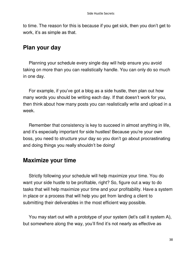to time. The reason for this is because if you get sick, then you don't get to work, it's as simple as that.

#### <span id="page-37-0"></span>**Plan your day**

Planning your schedule every single day will help ensure you avoid taking on more than you can realistically handle. You can only do so much in one day.

For example, if you've got a blog as a side hustle, then plan out how many words you should be writing each day. If that doesn't work for you, then think about how many posts you can realistically write and upload in a week.

Remember that consistency is key to succeed in almost anything in life, and it's especially important for side hustles! Because you're your own boss, you need to structure your day so you don't go about procrastinating and doing things you really shouldn't be doing!

#### <span id="page-37-1"></span>**Maximize your time**

Strictly following your schedule will help maximize your time. You do want your side hustle to be profitable, right? So, figure out a way to do tasks that will help maximize your time and your profitability. Have a system in place or a process that will help you get from landing a client to submitting their deliverables in the most efficient way possible.

You may start out with a prototype of your system (let's call it system A), but somewhere along the way, you'll find it's not nearly as effective as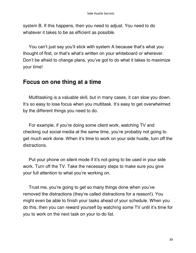system B. If this happens, then you need to adjust. You need to do whatever it takes to be as efficient as possible.

You can't just say you'll stick with system A because that's what you thought of first, or that's what's written on your whiteboard or wherever. Don't be afraid to change plans, you've got to do what it takes to maximize your time!

#### <span id="page-38-0"></span>**Focus on one thing at a time**

Multitasking is a valuable skill, but in many cases, it can slow you down. It's so easy to lose focus when you multitask. It's easy to get overwhelmed by the different things you need to do.

For example, if you're doing some client work, watching TV and checking out social media at the same time, you're probably not going to get much work done. When it's time to work on your side hustle, turn off the distractions.

Put your phone on silent mode if it's not going to be used in your side work. Turn off the TV. Take the necessary steps to make sure you give your full attention to what you're working on.

Trust me, you're going to get so many things done when you've removed the distractions (they're called distractions for a reason!). You might even be able to finish your tasks ahead of your schedule. When you do this, then you can reward yourself by watching some TV until it's time for you to work on the next task on your to-do list.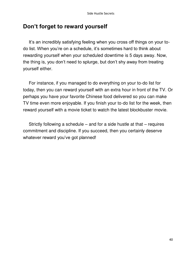#### <span id="page-39-0"></span>**Don't forget to reward yourself**

It's an incredibly satisfying feeling when you cross off things on your todo list. When you're on a schedule, it's sometimes hard to think about rewarding yourself when your scheduled downtime is 5 days away. Now, the thing is, you don't need to splurge, but don't shy away from treating yourself either.

For instance, if you managed to do everything on your to-do list for today, then you can reward yourself with an extra hour in front of the TV. Or perhaps you have your favorite Chinese food delivered so you can make TV time even more enjoyable. If you finish your to-do list for the week, then reward yourself with a movie ticket to watch the latest blockbuster movie.

Strictly following a schedule – and for a side hustle at that – requires commitment and discipline. If you succeed, then you certainly deserve whatever reward you've got planned!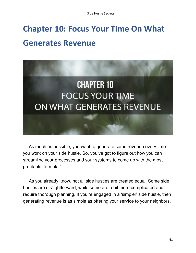### <span id="page-40-0"></span>**Chapter 10: Focus Your Time On What Generates Revenue**



As much as possible, you want to generate some revenue every time you work on your side hustle. So, you've got to figure out how you can streamline your processes and your systems to come up with the most profitable 'formula.'

As you already know, not all side hustles are created equal. Some side hustles are straightforward, while some are a bit more complicated and require thorough planning. If you're engaged in a 'simpler' side hustle, then generating revenue is as simple as offering your service to your neighbors.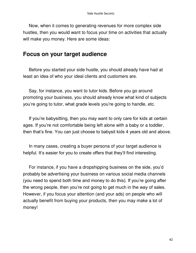Now, when it comes to generating revenues for more complex side hustles, then you would want to focus your time on activities that actually will make you money. Here are some ideas:

#### <span id="page-41-0"></span>**Focus on your target audience**

Before you started your side hustle, you should already have had at least an idea of who your ideal clients and customers are.

Say, for instance, you want to tutor kids. Before you go around promoting your business, you should already know what kind of subjects you're going to tutor, what grade levels you're going to handle, etc.

If you're babysitting, then you may want to only care for kids at certain ages. If you're not comfortable being left alone with a baby or a toddler, then that's fine. You can just choose to babysit kids 4 years old and above.

In many cases, creating a buyer persona of your target audience is helpful. It's easier for you to create offers that they'll find interesting.

For instance, if you have a dropshipping business on the side, you'd probably be advertising your business on various social media channels (you need to spend both time and money to do this). If you're going after the wrong people, then you're not going to get much in the way of sales. However, if you focus your attention (and your ads) on people who will actually benefit from buying your products, then you may make a lot of money!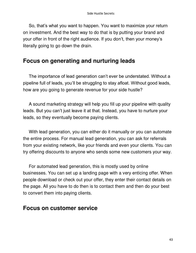So, that's what you want to happen. You want to maximize your return on investment. And the best way to do that is by putting your brand and your offer in front of the right audience. If you don't, then your money's literally going to go down the drain.

#### <span id="page-42-0"></span>**Focus on generating and nurturing leads**

The importance of lead generation can't ever be understated. Without a pipeline full of leads, you'll be struggling to stay afloat. Without good leads, how are you going to generate revenue for your side hustle?

A sound marketing strategy will help you fill up your pipeline with quality leads. But you can't just leave it at that. Instead, you have to nurture your leads, so they eventually become paying clients.

With lead generation, you can either do it manually or you can automate the entire process. For manual lead generation, you can ask for referrals from your existing network, like your friends and even your clients. You can try offering discounts to anyone who sends some new customers your way.

For automated lead generation, this is mostly used by online businesses. You can set up a landing page with a very enticing offer. When people download or check out your offer, they enter their contact details on the page. All you have to do then is to contact them and then do your best to convert them into paying clients.

#### <span id="page-42-1"></span>**Focus on customer service**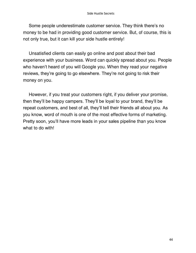Some people underestimate customer service. They think there's no money to be had in providing good customer service. But, of course, this is not only true, but it can kill your side hustle entirely!

Unsatisfied clients can easily go online and post about their bad experience with your business. Word can quickly spread about you. People who haven't heard of you will Google you. When they read your negative reviews, they're going to go elsewhere. They're not going to risk their money on you.

However, if you treat your customers right, if you deliver your promise, then they'll be happy campers. They'll be loyal to your brand, they'll be repeat customers, and best of all, they'll tell their friends all about you. As you know, word of mouth is one of the most effective forms of marketing. Pretty soon, you'll have more leads in your sales pipeline than you know what to do with!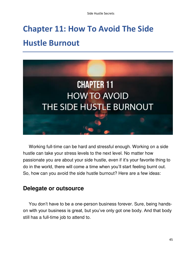### <span id="page-44-0"></span>**Chapter 11: How To Avoid The Side Hustle Burnout**



Working full-time can be hard and stressful enough. Working on a side hustle can take your stress levels to the next level. No matter how passionate you are about your side hustle, even if it's your favorite thing to do in the world, there will come a time when you'll start feeling burnt out. So, how can you avoid the side hustle burnout? Here are a few ideas:

#### <span id="page-44-1"></span>**Delegate or outsource**

You don't have to be a one-person business forever. Sure, being handson with your business is great, but you've only got one body. And that body still has a full-time job to attend to.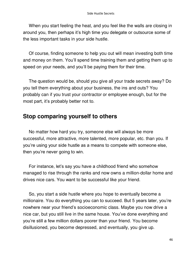When you start feeling the heat, and you feel like the walls are closing in around you, then perhaps it's high time you delegate or outsource some of the less important tasks in your side hustle.

Of course, finding someone to help you out will mean investing both time and money on them. You'll spend time training them and getting them up to speed on your needs, and you'll be paying them for their time.

The question would be, should you give all your trade secrets away? Do you tell them everything about your business, the ins and outs? You probably can if you trust your contractor or employee enough, but for the most part, it's probably better not to.

#### <span id="page-45-0"></span>**Stop comparing yourself to others**

No matter how hard you try, someone else will always be more successful, more attractive, more talented, more popular, etc. than you. If you're using your side hustle as a means to compete with someone else, then you're never going to win.

For instance, let's say you have a childhood friend who somehow managed to rise through the ranks and now owns a million-dollar home and drives nice cars. You want to be successful like your friend.

So, you start a side hustle where you hope to eventually become a millionaire. You do everything you can to succeed. But 5 years later, you're nowhere near your friend's socioeconomic class. Maybe you now drive a nice car, but you still live in the same house. You've done everything and you're still a few million dollars poorer than your friend. You become disillusioned, you become depressed, and eventually, you give up.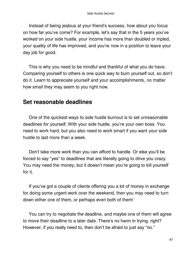Instead of being jealous at your friend's success, how about you focus on how far you've come? For example, let's say that in the 5 years you've worked on your side hustle, your income has more than doubled or tripled, your quality of life has improved, and you're now in a position to leave your day job for good.

This is why you need to be mindful and thankful of what you do have. Comparing yourself to others is one quick way to burn yourself out, so don't do it. Learn to appreciate yourself and your accomplishments, no matter how small they may seem to you right now.

#### <span id="page-46-0"></span>**Set reasonable deadlines**

One of the quickest ways to side hustle burnout is to set unreasonable deadlines for yourself. With your side hustle, you're your own boss. You need to work hard, but you also need to work smart if you want your side hustle to last more than a week.

Don't take more work than you can afford to handle. Or else you'll be forced to say "yes" to deadlines that are literally going to drive you crazy. You may need the money, but it doesn't mean you're going to kill yourself for it.

If you've got a couple of clients offering you a lot of money in exchange for doing some urgent work over the weekend, then you may need to turn down either one of them, or perhaps even both of them!

You can try to negotiate the deadline, and maybe one of them will agree to move their deadline to a later date. There's no harm in trying, right? However, if you really need to, then don't be afraid to just say "no."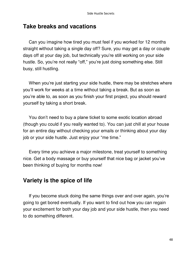#### <span id="page-47-0"></span>**Take breaks and vacations**

Can you imagine how tired you must feel if you worked for 12 months straight without taking a single day off? Sure, you may get a day or couple days off at your day job, but technically you're still working on your side hustle. So, you're not really "off," you're just doing something else. Still busy, still hustling.

When you're just starting your side hustle, there may be stretches where you'll work for weeks at a time without taking a break. But as soon as you're able to, as soon as you finish your first project, you should reward yourself by taking a short break.

You don't need to buy a plane ticket to some exotic location abroad (though you could if you really wanted to). You can just chill at your house for an entire day without checking your emails or thinking about your day job or your side hustle. Just enjoy your "me time."

Every time you achieve a major milestone, treat yourself to something nice. Get a body massage or buy yourself that nice bag or jacket you've been thinking of buying for months now!

#### <span id="page-47-1"></span>**Variety is the spice of life**

If you become stuck doing the same things over and over again, you're going to get bored eventually. If you want to find out how you can regain your excitement for both your day job and your side hustle, then you need to do something different.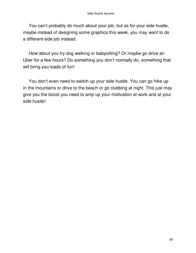You can't probably do much about your job, but as for your side hustle, maybe instead of designing some graphics this week, you may want to do a different side job instead.

How about you try dog walking or babysitting? Or maybe go drive an Uber for a few hours? Do something you don't normally do, something that will bring you loads of fun!

You don't even need to switch up your side hustle. You can go hike up in the mountains or drive to the beach or go clubbing at night. This just may give you the boost you need to amp up your motivation at work and at your side hustle!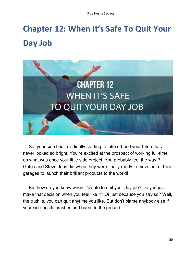# <span id="page-49-0"></span>**Chapter 12: When It's Safe To Quit Your Day Job**



So, your side hustle is finally starting to take off and your future has never looked so bright. You're excited at the prospect of working full-time on what was once your little side project. You probably feel the way Bill Gates and Steve Jobs did when they were finally ready to move out of their garages to launch their brilliant products to the world!

But how do you know when it's safe to quit your day job? Do you just make that decision when you feel like it? Or just because you say so? Well, the truth is, you can quit anytime you like. But don't blame anybody else if your side hustle crashes and burns to the ground.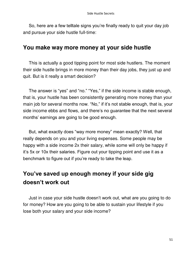So, here are a few telltale signs you're finally ready to quit your day job and pursue your side hustle full-time:

#### <span id="page-50-0"></span>**You make way more money at your side hustle**

This is actually a good tipping point for most side hustlers. The moment their side hustle brings in more money than their day jobs, they just up and quit. But is it really a smart decision?

The answer is "yes" and "no." "Yes," if the side income is stable enough, that is, your hustle has been consistently generating more money than your main job for several months now. "No," if it's not stable enough, that is, your side income ebbs and flows, and there's no guarantee that the next several months' earnings are going to be good enough.

But, what exactly does "way more money" mean exactly? Well, that really depends on you and your living expenses. Some people may be happy with a side income 2x their salary, while some will only be happy if it's 5x or 10x their salaries. Figure out your tipping point and use it as a benchmark to figure out if you're ready to take the leap.

#### <span id="page-50-1"></span>**You've saved up enough money if your side gig doesn't work out**

Just in case your side hustle doesn't work out, what are you going to do for money? How are you going to be able to sustain your lifestyle if you lose both your salary and your side income?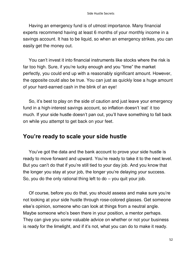Having an emergency fund is of utmost importance. Many financial experts recommend having at least 6 months of your monthly income in a savings account. It has to be liquid, so when an emergency strikes, you can easily get the money out.

You can't invest it into financial instruments like stocks where the risk is far too high. Sure, if you're lucky enough and you "time" the market perfectly, you could end up with a reasonably significant amount. However, the opposite could also be true. You can just as quickly lose a huge amount of your hard-earned cash in the blink of an eye!

So, it's best to play on the side of caution and just leave your emergency fund in a high-interest savings account, so inflation doesn't 'eat' it too much. If your side hustle doesn't pan out, you'll have something to fall back on while you attempt to get back on your feet.

#### <span id="page-51-0"></span>**You're ready to scale your side hustle**

You've got the data and the bank account to prove your side hustle is ready to move forward and upward. You're ready to take it to the next level. But you can't do that if you're still tied to your day job. And you know that the longer you stay at your job, the longer you're delaying your success. So, you do the only rational thing left to do – you quit your job.

Of course, before you do that, you should assess and make sure you're not looking at your side hustle through rose-colored glasses. Get someone else's opinion, someone who can look at things from a neutral angle. Maybe someone who's been there in your position, a mentor perhaps. They can give you some valuable advice on whether or not your business is ready for the limelight, and if it's not, what you can do to make it ready.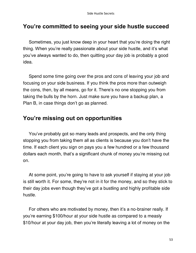#### <span id="page-52-0"></span>**You're committed to seeing your side hustle succeed**

Sometimes, you just know deep in your heart that you're doing the right thing. When you're really passionate about your side hustle, and it's what you've always wanted to do, then quitting your day job is probably a good idea.

Spend some time going over the pros and cons of leaving your job and focusing on your side business. If you think the pros more than outweigh the cons, then, by all means, go for it. There's no one stopping you from taking the bulls by the horn. Just make sure you have a backup plan, a Plan B, in case things don't go as planned.

#### <span id="page-52-1"></span>**You're missing out on opportunities**

You've probably got so many leads and prospects, and the only thing stopping you from taking them all as clients is because you don't have the time. If each client you sign on pays you a few hundred or a few thousand dollars each month, that's a significant chunk of money you're missing out on.

At some point, you're going to have to ask yourself if staying at your job is still worth it. For some, they're not in it for the money, and so they stick to their day jobs even though they've got a bustling and highly profitable side hustle.

For others who are motivated by money, then it's a no-brainer really. If you're earning \$100/hour at your side hustle as compared to a measly \$10/hour at your day job, then you're literally leaving a lot of money on the